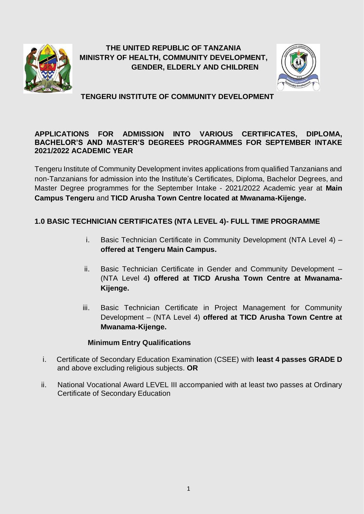

**THE UNITED REPUBLIC OF TANZANIA MINISTRY OF HEALTH, COMMUNITY DEVELOPMENT, GENDER, ELDERLY AND CHILDREN**



**TENGERU INSTITUTE OF COMMUNITY DEVELOPMENT**

### **APPLICATIONS FOR ADMISSION INTO VARIOUS CERTIFICATES, DIPLOMA, BACHELOR'S AND MASTER'S DEGREES PROGRAMMES FOR SEPTEMBER INTAKE 2021/2022 ACADEMIC YEAR**

Tengeru Institute of Community Development invites applications from qualified Tanzanians and non-Tanzanians for admission into the Institute's Certificates, Diploma, Bachelor Degrees, and Master Degree programmes for the September Intake - 2021/2022 Academic year at **Main Campus Tengeru** and **TICD Arusha Town Centre located at Mwanama-Kijenge.**

## **1.0 BASIC TECHNICIAN CERTIFICATES (NTA LEVEL 4)- FULL TIME PROGRAMME**

- i. Basic Technician Certificate in Community Development (NTA Level 4) **offered at Tengeru Main Campus.**
- ii. Basic Technician Certificate in Gender and Community Development (NTA Level 4**) offered at TICD Arusha Town Centre at Mwanama-Kijenge.**
- iii. Basic Technician Certificate in Project Management for Community Development – (NTA Level 4) **offered at TICD Arusha Town Centre at Mwanama-Kijenge.**

## **Minimum Entry Qualifications**

- i. Certificate of Secondary Education Examination (CSEE) with **least 4 passes GRADE D**  and above excluding religious subjects. **OR**
- ii. National Vocational Award LEVEL III accompanied with at least two passes at Ordinary Certificate of Secondary Education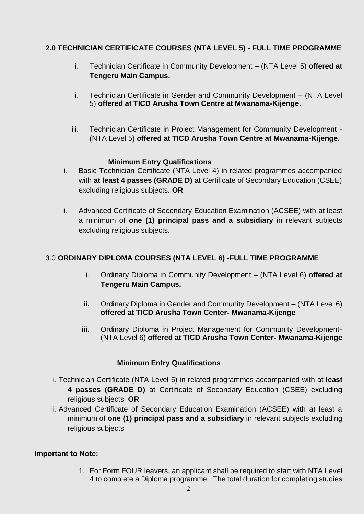## **2.0 TECHNICIAN CERTIFICATE COURSES (NTA LEVEL 5) - FULL TIME PROGRAMME**

- i. Technician Certificate in Community Development (NTA Level 5) **offered at Tengeru Main Campus.**
- ii. Technician Certificate in Gender and Community Development (NTA Level 5) **offered at TICD Arusha Town Centre at Mwanama-Kijenge.**
- iii. Technician Certificate in Project Management for Community Development (NTA Level 5) **offered at TICD Arusha Town Centre at Mwanama-Kijenge.**

### **Minimum Entry Qualifications**

- i. Basic Technician Certificate (NTA Level 4) in related programmes accompanied with **at least 4 passes (GRADE D)** at Certificate of Secondary Education (CSEE) excluding religious subjects. **OR**
- ii. Advanced Certificate of Secondary Education Examination (ACSEE) with at least a minimum of **one (1) principal pass and a subsidiary** in relevant subjects excluding religious subjects.

## 3.0 **ORDINARY DIPLOMA COURSES (NTA LEVEL 6) -FULL TIME PROGRAMME**

- i. Ordinary Diploma in Community Development (NTA Level 6) **offered at Tengeru Main Campus.**
- **ii.** Ordinary Diploma in Gender and Community Development (NTA Level 6) **offered at TICD Arusha Town Center- Mwanama-Kijenge**
- **iii.** Ordinary Diploma in Project Management for Community Development- (NTA Level 6) **offered at TICD Arusha Town Center- Mwanama-Kijenge**

## **Minimum Entry Qualifications**

- i. Technician Certificate (NTA Level 5) in related programmes accompanied with at **least 4 passes (GRADE D)** at Certificate of Secondary Education (CSEE) excluding religious subjects. **OR**
- ii. Advanced Certificate of Secondary Education Examination (ACSEE) with at least a minimum of **one (1) principal pass and a subsidiary** in relevant subjects excluding religious subjects

#### **Important to Note:**

1. For Form FOUR leavers, an applicant shall be required to start with NTA Level 4 to complete a Diploma programme. The total duration for completing studies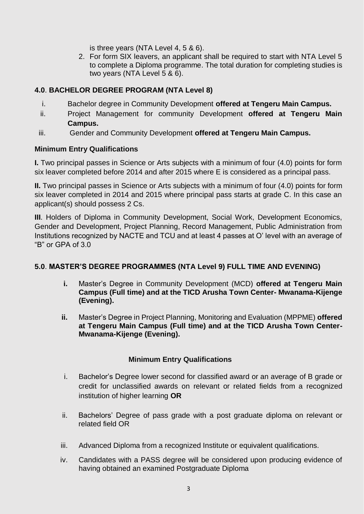is three years (NTA Level 4, 5 & 6).

2. For form SIX leavers, an applicant shall be required to start with NTA Level 5 to complete a Diploma programme. The total duration for completing studies is two years (NTA Level 5 & 6).

# **4.0**. **BACHELOR DEGREE PROGRAM (NTA Level 8)**

- i. Bachelor degree in Community Development **offered at Tengeru Main Campus.**
- ii. Project Management for community Development **offered at Tengeru Main Campus.**
- iii. Gender and Community Development **offered at Tengeru Main Campus.**

## **Minimum Entry Qualifications**

**I.** Two principal passes in Science or Arts subjects with a minimum of four (4.0) points for form six leaver completed before 2014 and after 2015 where E is considered as a principal pass.

**II.** Two principal passes in Science or Arts subjects with a minimum of four (4.0) points for form six leaver completed in 2014 and 2015 where principal pass starts at grade C. In this case an applicant(s) should possess 2 Cs.

**III**. Holders of Diploma in Community Development, Social Work, Development Economics, Gender and Development, Project Planning, Record Management, Public Administration from Institutions recognized by NACTE and TCU and at least 4 passes at O' level with an average of "B" or GPA of 3.0

## **5.0**. **MASTER'S DEGREE PROGRAMMES (NTA Level 9) FULL TIME AND EVENING)**

- **i.** Master's Degree in Community Development (MCD) **offered at Tengeru Main Campus (Full time) and at the TICD Arusha Town Center- Mwanama-Kijenge (Evening).**
- **ii.** Master's Degree in Project Planning, Monitoring and Evaluation (MPPME) **offered at Tengeru Main Campus (Full time) and at the TICD Arusha Town Center-Mwanama-Kijenge (Evening).**

# **Minimum Entry Qualifications**

- i. Bachelor's Degree lower second for classified award or an average of B grade or credit for unclassified awards on relevant or related fields from a recognized institution of higher learning **OR**
- ii. Bachelors' Degree of pass grade with a post graduate diploma on relevant or related field OR
- iii. Advanced Diploma from a recognized Institute or equivalent qualifications.
- iv. Candidates with a PASS degree will be considered upon producing evidence of having obtained an examined Postgraduate Diploma